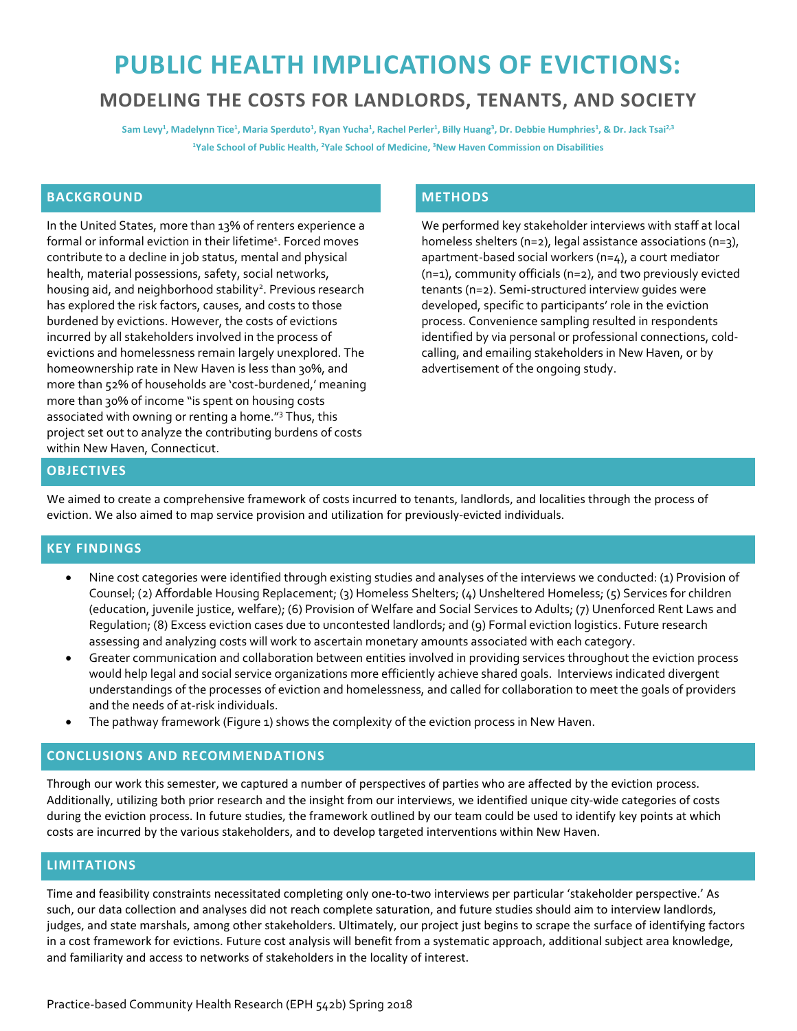# **PUBLIC HEALTH IMPLICATIONS OF EVICTIONS: MODELING THE COSTS FOR LANDLORDS, TENANTS, AND SOCIETY**

**Sam Levy1, Madelynn Tice1, Maria Sperduto1, Ryan Yucha1, Rachel Perler1, Billy Huang3, Dr. Debbie Humphries1 , & Dr. Jack Tsai2,3 1Yale School of Public Health, 2Yale School of Medicine, 3New Haven Commission on Disabilities**

### **BACKGROUND**

In the United States, more than 13% of renters experience a formal or informal eviction in their lifetime<sup>1</sup>. Forced moves contribute to a decline in job status, mental and physical health, material possessions, safety, social networks, housing aid, and neighborhood stability<sup>2</sup>. Previous research has explored the risk factors, causes, and costs to those burdened by evictions. However, the costs of evictions incurred by all stakeholders involved in the process of evictions and homelessness remain largely unexplored. The homeownership rate in New Haven is less than 30%, and more than 52% of households are 'cost-burdened,' meaning more than 30% of income "is spent on housing costs associated with owning or renting a home."3 Thus, this project set out to analyze the contributing burdens of costs within New Haven, Connecticut.

# **METHODS**

We performed key stakeholder interviews with staff at local homeless shelters (n=2), legal assistance associations (n=3), apartment-based social workers (n=4), a court mediator (n=1), community officials (n=2), and two previously evicted tenants (n=2). Semi-structured interview guides were developed, specific to participants' role in the eviction process. Convenience sampling resulted in respondents identified by via personal or professional connections, coldcalling, and emailing stakeholders in New Haven, or by advertisement of the ongoing study.

#### **OBJECTIVES**

We aimed to create a comprehensive framework of costs incurred to tenants, landlords, and localities through the process of eviction. We also aimed to map service provision and utilization for previously-evicted individuals.

### **KEY FINDINGS**

- Nine cost categories were identified through existing studies and analyses of the interviews we conducted: (1) Provision of Counsel; (2) Affordable Housing Replacement; (3) Homeless Shelters; (4) Unsheltered Homeless; (5) Services for children (education, juvenile justice, welfare); (6) Provision of Welfare and Social Services to Adults; (7) Unenforced Rent Laws and Regulation; (8) Excess eviction cases due to uncontested landlords; and (9) Formal eviction logistics. Future research assessing and analyzing costs will work to ascertain monetary amounts associated with each category.
- Greater communication and collaboration between entities involved in providing services throughout the eviction process would help legal and social service organizations more efficiently achieve shared goals. Interviews indicated divergent understandings of the processes of eviction and homelessness, and called for collaboration to meet the goals of providers and the needs of at-risk individuals.
- The pathway framework (Figure 1) shows the complexity of the eviction process in New Haven.

#### **CONCLUSIONS AND RECOMMENDATIONS**

Through our work this semester, we captured a number of perspectives of parties who are affected by the eviction process. Additionally, utilizing both prior research and the insight from our interviews, we identified unique city-wide categories of costs during the eviction process. In future studies, the framework outlined by our team could be used to identify key points at which costs are incurred by the various stakeholders, and to develop targeted interventions within New Haven.

#### **LIMITATIONS**

Time and feasibility constraints necessitated completing only one-to-two interviews per particular 'stakeholder perspective.' As such, our data collection and analyses did not reach complete saturation, and future studies should aim to interview landlords, judges, and state marshals, among other stakeholders. Ultimately, our project just begins to scrape the surface of identifying factors in a cost framework for evictions. Future cost analysis will benefit from a systematic approach, additional subject area knowledge, and familiarity and access to networks of stakeholders in the locality of interest.